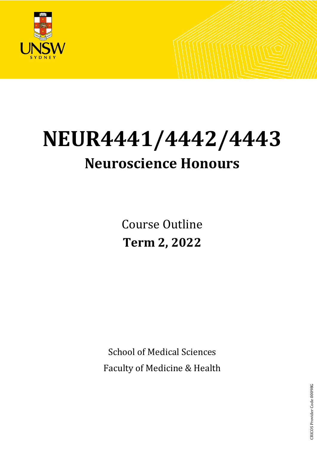

# **NEUR4441/4442/4443 Neuroscience Honours**

Course Outline **Term 2, 2022**

School of Medical Sciences Faculty of Medicine & Health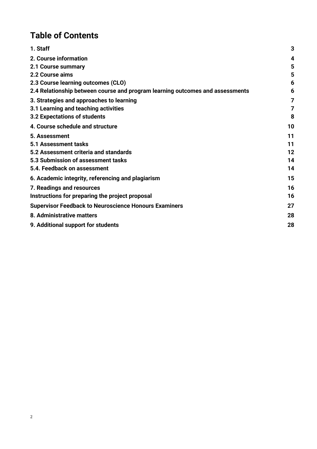# **Table of Contents**

| 1. Staff                                                                      | 3  |
|-------------------------------------------------------------------------------|----|
| 2. Course information                                                         | 4  |
| 2.1 Course summary                                                            | 5  |
| 2.2 Course aims                                                               | 5  |
| 2.3 Course learning outcomes (CLO)                                            | 6  |
| 2.4 Relationship between course and program learning outcomes and assessments | 6  |
| 3. Strategies and approaches to learning                                      | 7  |
| 3.1 Learning and teaching activities                                          | 7  |
| 3.2 Expectations of students                                                  | 8  |
| 4. Course schedule and structure                                              | 10 |
| 5. Assessment                                                                 | 11 |
| <b>5.1 Assessment tasks</b>                                                   | 11 |
| 5.2 Assessment criteria and standards                                         | 12 |
| 5.3 Submission of assessment tasks                                            | 14 |
| 5.4. Feedback on assessment                                                   | 14 |
| 6. Academic integrity, referencing and plagiarism                             | 15 |
| 7. Readings and resources                                                     | 16 |
| Instructions for preparing the project proposal                               | 16 |
| <b>Supervisor Feedback to Neuroscience Honours Examiners</b>                  | 27 |
| 8. Administrative matters                                                     | 28 |
| 9. Additional support for students                                            | 28 |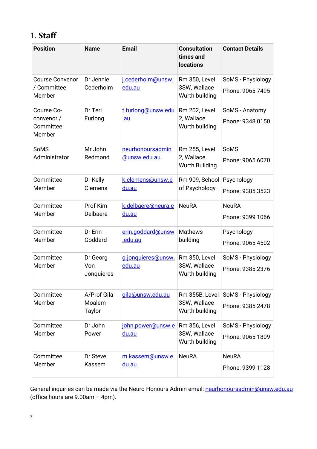# <span id="page-2-0"></span>1. **Staff**

| <b>Position</b>                                 | <b>Name</b>                             | <b>Email</b>                        | <b>Consultation</b><br>times and<br><b>locations</b> | <b>Contact Details</b>                |
|-------------------------------------------------|-----------------------------------------|-------------------------------------|------------------------------------------------------|---------------------------------------|
| <b>Course Convenor</b><br>/ Committee<br>Member | Dr Jennie<br>Cederholm                  | j.cederholm@unsw.<br>edu.au         | Rm 350, Level<br>3SW, Wallace<br>Wurth building      | SoMS - Physiology<br>Phone: 9065 7495 |
| Course Co-<br>convenor /<br>Committee<br>Member | Dr Teri<br>Furlong                      | t.furlong@unsw.edu<br><u>.au</u>    | Rm 202, Level<br>2, Wallace<br>Wurth building        | SoMS - Anatomy<br>Phone: 9348 0150    |
| SoMS<br>Administrator                           | Mr John<br>Redmond                      | neurhonoursadmin<br>@unsw.edu.au    | Rm 255, Level<br>2, Wallace<br>Wurth Building        | <b>SoMS</b><br>Phone: 9065 6070       |
| Committee<br>Member                             | Dr Kelly<br>Clemens                     | k.clemens@unsw.e<br>du.au           | Rm 909, School<br>of Psychology                      | Psychology<br>Phone: 9385 3523        |
| Committee<br>Member                             | Prof Kim<br>Delbaere                    | k.delbaere@neura.e<br>du.au         | <b>NeuRA</b>                                         | <b>NeuRA</b><br>Phone: 9399 1066      |
| Committee<br>Member                             | Dr Erin<br>Goddard                      | erin.goddard@unsw<br><u>.edu.au</u> | <b>Mathews</b><br>building                           | Psychology<br>Phone: 9065 4502        |
| Committee<br>Member                             | Dr Georg<br>Von<br>Jonquieres           | g.jonquieres@unsw.<br>edu.au        | Rm 350, Level<br>3SW, Wallace<br>Wurth building      | SoMS - Physiology<br>Phone: 9385 2376 |
| Committee<br>Member                             | A/Prof Gila<br>Moalem-<br><b>Taylor</b> | gila@unsw.edu.au                    | Rm 355B, Level<br>3SW, Wallace<br>Wurth building     | SoMS - Physiology<br>Phone: 9385 2478 |
| Committee<br>Member                             | Dr John<br>Power                        | john.power@unsw.e<br>du.au          | Rm 356, Level<br>3SW, Wallace<br>Wurth building      | SoMS - Physiology<br>Phone: 9065 1809 |
| Committee<br>Member                             | Dr Steve<br>Kassem                      | m.kassem@unsw.e<br>du.au            | <b>NeuRA</b>                                         | <b>NeuRA</b><br>Phone: 9399 1128      |

General inquiries can be made via the Neuro Honours Admin email: [neurhonoursadmin@unsw.edu.au](mailto:neurhonoursadmin@unsw.edu.au) (office hours are 9.00am – 4pm).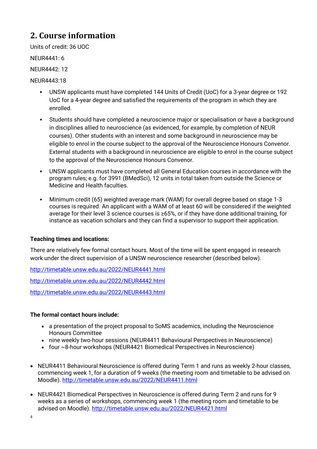# <span id="page-3-0"></span>**2. Course information**

Units of credit: 36 UOC

NEUR4441: 6

NEUR4442: 12

NEUR4443:18

- UNSW applicants must have completed 144 Units of Credit (UoC) for a 3-year degree or 192 UoC for a 4-year degree and satisfied the requirements of the program in which they are enrolled.
- Students should have completed a neuroscience major or specialisation or have a background in disciplines allied to neuroscience (as evidenced, for example, by completion of NEUR courses). Other students with an interest and some background in neuroscience may be eligible to enrol in the course subject to the approval of the Neuroscience Honours Convenor. External students with a background in neuroscience are eligible to enrol in the course subject to the approval of the Neuroscience Honours Convenor.
- UNSW applicants must have completed all General Education courses in accordance with the program rules; e.g. for 3991 (BMedSci), 12 units in total taken from outside the Science or Medicine and Health faculties.
- Minimum credit (65) weighted average mark (WAM) for overall degree based on stage 1-3 courses is required. An applicant with a WAM of at least 60 will be considered if the weighted average for their level 3 science courses is ≥65%, or if they have done additional training, for instance as vacation scholars and they can find a supervisor to support their application.

#### **Teaching times and locations:**

There are relatively few formal contact hours. Most of the time will be spent engaged in research work under the direct supervision of a UNSW neuroscience researcher (described below).

<http://timetable.unsw.edu.au/2022/NEUR4441.html>

<http://timetable.unsw.edu.au/2022/NEUR4442.html>

<http://timetable.unsw.edu.au/2022/NEUR4443.html>

#### **The formal contact hours include:**

- a presentation of the project proposal to SoMS academics, including the Neuroscience Honours Committee
- nine weekly two-hour sessions (NEUR4411 Behavioural Perspectives in Neuroscience)
- four ~8-hour workshops (NEUR4421 Biomedical Perspectives in Neuroscience)
- NEUR4411 Behavioural Neuroscience is offered during Term 1 and runs as weekly 2-hour classes, commencing week 1, for a duration of 9 weeks (the meeting room and timetable to be advised on Moodle). <http://timetable.unsw.edu.au/2022/NEUR4411.html>
- NEUR4421 Biomedical Perspectives in Neuroscience is offered during Term 2 and runs for 9 weeks as a series of workshops, commencing week 1 (the meeting room and timetable to be advised on Moodle). <http://timetable.unsw.edu.au/2022/NEUR4421.html>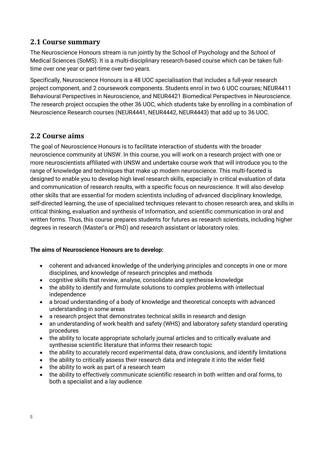## <span id="page-4-0"></span>**2.1 Course summary**

The Neuroscience Honours stream is run jointly by the School of Psychology and the School of Medical Sciences (SoMS). It is a multi-disciplinary research-based course which can be taken fulltime over one year or part-time over two years.

Specifically, Neuroscience Honours is a 48 UOC specialisation that includes a full-year research project component, and 2 coursework components. Students enrol in two 6 UOC courses; NEUR4411 Behavioural Perspectives in Neuroscience, and NEUR4421 Biomedical Perspectives in Neuroscience. The research project occupies the other 36 UOC, which students take by enrolling in a combination of Neuroscience Research courses (NEUR4441, NEUR4442, NEUR4443) that add up to 36 UOC.

## <span id="page-4-1"></span>**2.2 Course aims**

The goal of Neuroscience Honours is to facilitate interaction of students with the broader neuroscience community at UNSW. In this course, you will work on a research project with one or more neuroscientists affiliated with UNSW and undertake course work that will introduce you to the range of knowledge and techniques that make up modern neuroscience. This multi-faceted is designed to enable you to develop high level research skills, especially in critical evaluation of data and communication of research results, with a specific focus on neuroscience. It will also develop other skills that are essential for modern scientists including of advanced disciplinary knowledge, self-directed learning, the use of specialised techniques relevant to chosen research area, and skills in critical thinking, evaluation and synthesis of information, and scientific communication in oral and written forms. Thus, this course prepares students for futures as research scientists, including higher degrees in research (Master's or PhD) and research assistant or laboratory roles.

#### **The aims of Neuroscience Honours are to develop:**

- coherent and advanced knowledge of the underlying principles and concepts in one or more disciplines, and knowledge of research principles and methods
- cognitive skills that review, analyse, consolidate and synthesise knowledge
- the ability to identify and formulate solutions to complex problems with intellectual independence
- a broad understanding of a body of knowledge and theoretical concepts with advanced understanding in some areas
- a research project that demonstrates technical skills in research and design
- an understanding of work health and safety (WHS) and laboratory safety standard operating procedures
- the ability to locate appropriate scholarly journal articles and to critically evaluate and synthesise scientific literature that informs their research topic
- the ability to accurately record experimental data, draw conclusions, and identify limitations
- the ability to critically assess their research data and integrate it into the wider field
- the ability to work as part of a research team
- the ability to effectively communicate scientific research in both written and oral forms, to both a specialist and a lay audience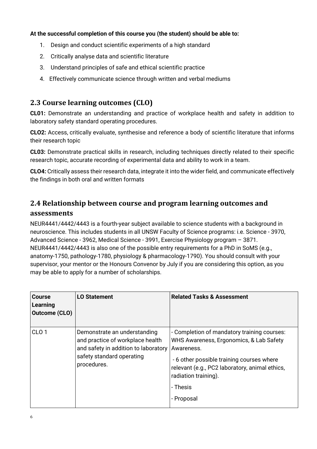#### **At the successful completion of this course you (the student) should be able to:**

- 1. Design and conduct scientific experiments of a high standard
- 2. Critically analyse data and scientific literature
- 3. Understand principles of safe and ethical scientific practice
- 4. Effectively communicate science through written and verbal mediums

## <span id="page-5-0"></span>**2.3 Course learning outcomes (CLO)**

**CL01:** Demonstrate an understanding and practice of workplace health and safety in addition to laboratory safety standard operating procedures.

**CLO2:** Access, critically evaluate, synthesise and reference a body of scientific literature that informs their research topic

**CL03:** Demonstrate practical skills in research, including techniques directly related to their specific research topic, accurate recording of experimental data and ability to work in a team.

**CLO4:** Critically assess their research data, integrate it into the wider field, and communicate effectively the findings in both oral and written formats

## <span id="page-5-1"></span>**2.4 Relationship between course and program learning outcomes and assessments**

NEUR4441/4442/4443 is a fourth-year subject available to science students with a background in neuroscience. This includes students in all UNSW Faculty of Science programs: i.e. Science - 3970, Advanced Science - 3962, Medical Science - 3991, Exercise Physiology program – 3871. NEUR4441/4442/4443 is also one of the possible entry requirements for a PhD in SoMS (e.g., anatomy-1750, pathology-1780, physiology & pharmacology-1790). You should consult with your supervisor, your mentor or the Honours Convenor by July if you are considering this option, as you may be able to apply for a number of scholarships.

| Course<br>Learning<br><b>Outcome (CLO)</b> | <b>LO Statement</b>                                                                                                                                  | <b>Related Tasks &amp; Assessment</b>                                                                                                                                                                                                                 |
|--------------------------------------------|------------------------------------------------------------------------------------------------------------------------------------------------------|-------------------------------------------------------------------------------------------------------------------------------------------------------------------------------------------------------------------------------------------------------|
| CLO <sub>1</sub>                           | Demonstrate an understanding<br>and practice of workplace health<br>and safety in addition to laboratory<br>safety standard operating<br>procedures. | - Completion of mandatory training courses:<br>WHS Awareness, Ergonomics, & Lab Safety<br>Awareness.<br>- 6 other possible training courses where<br>relevant (e.g., PC2 laboratory, animal ethics,<br>radiation training).<br>- Thesis<br>- Proposal |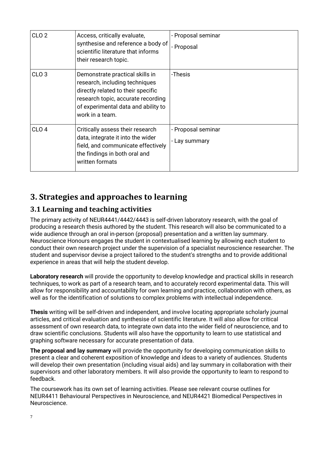| CLO <sub>2</sub> | Access, critically evaluate,<br>synthesise and reference a body of<br>scientific literature that informs<br>their research topic.                                                                       | - Proposal seminar<br>- Proposal    |
|------------------|---------------------------------------------------------------------------------------------------------------------------------------------------------------------------------------------------------|-------------------------------------|
| CLO <sub>3</sub> | Demonstrate practical skills in<br>research, including techniques<br>directly related to their specific<br>research topic, accurate recording<br>of experimental data and ability to<br>work in a team. | -Thesis                             |
| CLO <sub>4</sub> | Critically assess their research<br>data, integrate it into the wider<br>field, and communicate effectively<br>the findings in both oral and<br>written formats                                         | - Proposal seminar<br>- Lay summary |

# <span id="page-6-0"></span>**3. Strategies and approaches to learning**

## <span id="page-6-1"></span>**3.1 Learning and teaching activities**

The primary activity of NEUR4441/4442/4443 is self-driven laboratory research, with the goal of producing a research thesis authored by the student. This research will also be communicated to a wide audience through an oral in-person (proposal) presentation and a written lay summary. Neuroscience Honours engages the student in contextualised learning by allowing each student to conduct their own research project under the supervision of a specialist neuroscience researcher. The student and supervisor devise a project tailored to the student's strengths and to provide additional experience in areas that will help the student develop.

**Laboratory research** will provide the opportunity to develop knowledge and practical skills in research techniques, to work as part of a research team, and to accurately record experimental data. This will allow for responsibility and accountability for own learning and practice, collaboration with others, as well as for the identification of solutions to complex problems with intellectual independence.

**Thesis** writing will be self-driven and independent, and involve locating appropriate scholarly journal articles, and critical evaluation and synthesise of scientific literature. It will also allow for critical assessment of own research data, to integrate own data into the wider field of neuroscience, and to draw scientific conclusions. Students will also have the opportunity to learn to use statistical and graphing software necessary for accurate presentation of data.

**The proposal and lay summary** will provide the opportunity for developing communication skills to present a clear and coherent exposition of knowledge and ideas to a variety of audiences. Students will develop their own presentation (including visual aids) and lay summary in collaboration with their supervisors and other laboratory members. It will also provide the opportunity to learn to respond to feedback.

The coursework has its own set of learning activities. Please see relevant course outlines for NEUR4411 Behavioural Perspectives in Neuroscience, and NEUR4421 Biomedical Perspectives in **Neuroscience**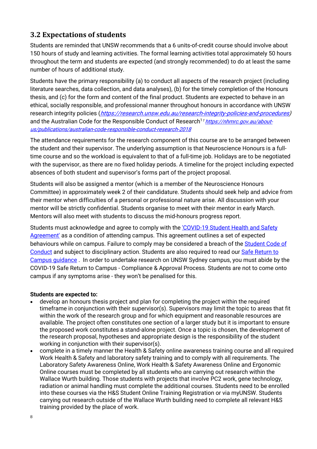## <span id="page-7-0"></span>**3.2 Expectations of students**

Students are reminded that UNSW recommends that a 6 units-of-credit course should involve about 150 hours of study and learning activities. The formal learning activities total approximately 50 hours throughout the term and students are expected (and strongly recommended) to do at least the same number of hours of additional study.

Students have the primary responsibility (a) to conduct all aspects of the research project (including literature searches, data collection, and data analyses), (b) for the timely completion of the Honours thesis, and (c) for the form and content of the final product. Students are expected to behave in an ethical, socially responsible, and professional manner throughout honours in accordance with UNSW research integrity policies ([https://research.unsw.edu.au/research-integrity-policies-and-procedures\)](https://research.unsw.edu.au/research-integrity-policies-and-procedures) and the Australian Code for the Responsible Conduct of Research<sup>11</sup> https://nhmrc.gov.au/about[us/publications/australian-code-responsible-conduct-research-2018](https://nhmrc.gov.au/about-us/publications/australian-code-responsible-conduct-research-2018)

The attendance requirements for the research component of this course are to be arranged between the student and their supervisor. The underlying assumption is that Neuroscience Honours is a fulltime course and so the workload is equivalent to that of a full-time job. Holidays are to be negotiated with the supervisor, as there are no fixed holiday periods. A timeline for the project including expected absences of both student and supervisor's forms part of the project proposal.

Students will also be assigned a mentor (which is a member of the Neuroscience Honours Committee) in approximately week 2 of their candidature. Students should seek help and advice from their mentor when difficulties of a personal or professional nature arise. All discussion with your mentor will be strictly confidential. Students organise to meet with their mentor in early March. Mentors will also meet with students to discuss the mid-honours progress report.

Students must acknowledge and agree to comply with the ['COVID-19 Student Health and Safety](https://portal.insight.unsw.edu.au/return-to-campus)  [Agreement'](https://portal.insight.unsw.edu.au/return-to-campus) as a condition of attending campus. This agreement outlines a set of expected behaviours while on campus. Failure to comply may be considered a breach of the [Student Code of](https://www.gs.unsw.edu.au/policy/documents/studentcodepolicy.pdf)  [Conduct](https://www.gs.unsw.edu.au/policy/documents/studentcodepolicy.pdf) and subject to disciplinary action. Students are also required to read our Safe Return to [Campus guidance](https://www.covid-19.unsw.edu.au/safe-return-campus) . In order to undertake research on UNSW Sydney campus, you must abide by the COVID-19 Safe Return to Campus - Compliance & Approval Process. Students are not to come onto campus if any symptoms arise - they won't be penalised for this.

#### **Students are expected to:**

- develop an honours thesis project and plan for completing the project within the required timeframe in conjunction with their supervisor(s). Supervisors may limit the topic to areas that fit within the work of the research group and for which equipment and reasonable resources are available. The project often constitutes one section of a larger study but it is important to ensure the proposed work constitutes a stand-alone project. Once a topic is chosen, the development of the research proposal, hypotheses and appropriate design is the responsibility of the student working in conjunction with their supervisor(s).
- complete in a timely manner the Health & Safety online awareness training course and all required Work Health & Safety and laboratory safety training and to comply with all requirements. The Laboratory Safety Awareness Online, Work Health & Safety Awareness Online and Ergonomic Online courses must be completed by all students who are carrying out research within the Wallace Wurth building. Those students with projects that involve PC2 work, gene technology, radiation or animal handling must complete the additional courses. Students need to be enrolled into these courses via the H&S Student Online Training Registration or via myUNSW. Students carrying out research outside of the Wallace Wurth building need to complete all relevant H&S training provided by the place of work.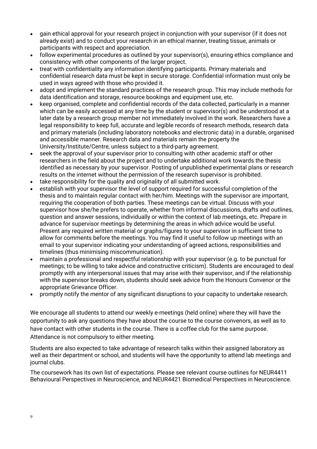- gain ethical approval for your research project in conjunction with your supervisor (if it does not already exist) and to conduct your research in an ethical manner, treating tissue, animals or participants with respect and appreciation.
- follow experimental procedures as outlined by your supervisor(s), ensuring ethics compliance and consistency with other components of the larger project.
- treat with confidentiality any information identifying participants. Primary materials and confidential research data must be kept in secure storage. Confidential information must only be used in ways agreed with those who provided it.
- adopt and implement the standard practices of the research group. This may include methods for data identification and storage, resource bookings and equipment use, etc.
- keep organised, complete and confidential records of the data collected, particularly in a manner which can be easily accessed at any time by the student or supervisor(s) and be understood at a later date by a research group member not immediately involved in the work. Researchers have a legal responsibility to keep full, accurate and legible records of research methods, research data and primary materials (including laboratory notebooks and electronic data) in a durable, organised and accessible manner. Research data and materials remain the property the University/Institute/Centre, unless subject to a third-party agreement.
- seek the approval of your supervisor prior to consulting with other academic staff or other researchers in the field about the project and to undertake additional work towards the thesis identified as necessary by your supervisor. Posting of unpublished experimental plans or research results on the internet without the permission of the research supervisor is prohibited.
- take responsibility for the quality and originality of all submitted work.
- establish with your supervisor the level of support required for successful completion of the thesis and to maintain regular contact with her/him. Meetings with the supervisor are important, requiring the cooperation of both parties. These meetings can be virtual. Discuss with your supervisor how she/he prefers to operate, whether from informal discussions, drafts and outlines, question and answer sessions, individually or within the context of lab meetings, etc. Prepare in advance for supervisor meetings by determining the areas in which advice would be useful. Present any required written material or graphs/figures to your supervisor in sufficient time to allow for comments before the meetings. You may find it useful to follow up meetings with an email to your supervisor indicating your understanding of agreed actions, responsibilities and timelines (thus minimising miscommunication).
- maintain a professional and respectful relationship with your supervisor (e.g. to be punctual for meetings; to be willing to take advice and constructive criticism). Students are encouraged to deal promptly with any interpersonal issues that may arise with their supervisor, and if the relationship with the supervisor breaks down, students should seek advice from the Honours Convenor or the appropriate Grievance Officer.
- promptly notify the mentor of any significant disruptions to your capacity to undertake research.

We encourage all students to attend our weekly e-meetings (held online) where they will have the opportunity to ask any questions they have about the course to the course convenors, as well as to have contact with other students in the course. There is a coffee club for the same purpose. Attendance is not compulsory to either meeting.

Students are also expected to take advantage of research talks within their assigned laboratory as well as their department or school, and students will have the opportunity to attend lab meetings and journal clubs.

The coursework has its own list of expectations. Please see relevant course outlines for NEUR4411 Behavioural Perspectives in Neuroscience, and NEUR4421 Biomedical Perspectives in Neuroscience.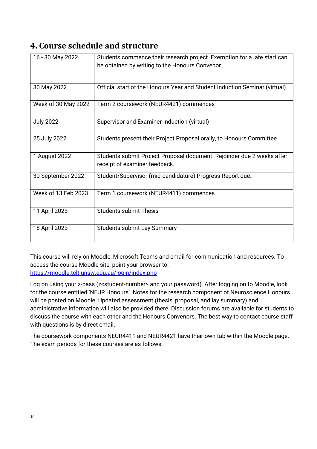# <span id="page-9-0"></span>**4. Course schedule and structure**

| 16 - 30 May 2022    | Students commence their research project. Exemption for a late start can    |
|---------------------|-----------------------------------------------------------------------------|
|                     | be obtained by writing to the Honours Convenor.                             |
|                     |                                                                             |
|                     |                                                                             |
| 30 May 2022         | Official start of the Honours Year and Student Induction Seminar (virtual). |
| Week of 30 May 2022 | Term 2 coursework (NEUR4421) commences                                      |
|                     |                                                                             |
| <b>July 2022</b>    | Supervisor and Examiner Induction (virtual)                                 |
|                     |                                                                             |
| 25 July 2022        | Students present their Project Proposal orally, to Honours Committee        |
|                     |                                                                             |
| 1 August 2022       | Students submit Project Proposal document. Rejoinder due 2 weeks after      |
|                     | receipt of examiner feedback.                                               |
| 30 September 2022   | Student/Supervisor (mid-candidature) Progress Report due.                   |
|                     |                                                                             |
| Week of 13 Feb 2023 | Term 1 coursework (NEUR4411) commences                                      |
|                     |                                                                             |
| 11 April 2023       | <b>Students submit Thesis</b>                                               |
|                     |                                                                             |
| 18 April 2023       | <b>Students submit Lay Summary</b>                                          |
|                     |                                                                             |

This course will rely on Moodle, Microsoft Teams and email for communication and resources. To access the course Moodle site, point your browser to: <https://moodle.telt.unsw.edu.au/login/index.php>

Log on using your z-pass (z<student-number> and your password). After logging on to Moodle, look for the course entitled 'NEUR Honours'. Notes for the research component of Neuroscience Honours will be posted on Moodle. Updated assessment (thesis, proposal, and lay summary) and administrative information will also be provided there. Discussion forums are available for students to discuss the course with each other and the Honours Convenors. The best way to contact course staff with questions is by direct email.

The coursework components NEUR4411 and NEUR4421 have their own tab within the Moodle page. The exam periods for these courses are as follows: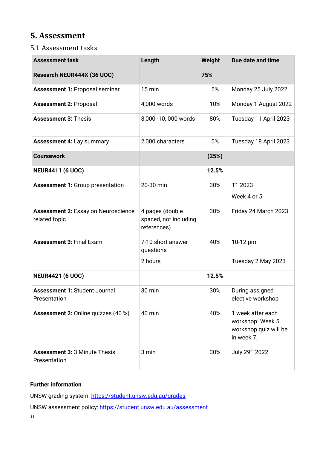# <span id="page-10-0"></span>**5. Assessment**

### <span id="page-10-1"></span>5.1 Assessment tasks

| <b>Assessment task</b>                                      | Length                                                  | Weight | Due date and time                                                            |
|-------------------------------------------------------------|---------------------------------------------------------|--------|------------------------------------------------------------------------------|
| Research NEUR444X (36 UOC)                                  |                                                         | 75%    |                                                                              |
| <b>Assessment 1: Proposal seminar</b>                       | $15$ min                                                | 5%     | Monday 25 July 2022                                                          |
| <b>Assessment 2: Proposal</b>                               | 4,000 words                                             | 10%    | Monday 1 August 2022                                                         |
| <b>Assessment 3: Thesis</b>                                 | 8,000 -10,000 words                                     | 80%    | Tuesday 11 April 2023                                                        |
| <b>Assessment 4: Lay summary</b>                            | 2,000 characters                                        | 5%     | Tuesday 18 April 2023                                                        |
| <b>Coursework</b>                                           |                                                         | (25%)  |                                                                              |
| <b>NEUR4411 (6 UOC)</b>                                     |                                                         | 12.5%  |                                                                              |
| <b>Assessment 1: Group presentation</b>                     | 20-30 min                                               | 30%    | T1 2023<br>Week 4 or 5                                                       |
| <b>Assessment 2: Essay on Neuroscience</b><br>related topic | 4 pages (double<br>spaced, not including<br>references) | 30%    | Friday 24 March 2023                                                         |
| <b>Assessment 3: Final Exam</b>                             | 7-10 short answer<br>questions<br>2 hours               | 40%    | 10-12 pm<br>Tuesday 2 May 2023                                               |
| <b>NEUR4421 (6 UOC)</b>                                     |                                                         | 12.5%  |                                                                              |
| <b>Assessment 1: Student Journal</b><br>Presentation        | 30 min                                                  | 30%    | During assigned<br>elective workshop                                         |
| <b>Assessment 2: Online quizzes (40 %)</b>                  | 40 min                                                  | 40%    | 1 week after each<br>workshop. Week 5<br>workshop quiz will be<br>in week 7. |
| <b>Assessment 3: 3 Minute Thesis</b><br>Presentation        | 3 min                                                   | 30%    | July 29th 2022                                                               |

#### **Further information**

UNSW grading system:<https://student.unsw.edu.au/grades>

UNSW assessment policy:<https://student.unsw.edu.au/assessment>

11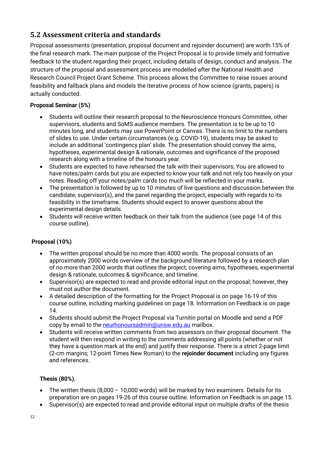## <span id="page-11-0"></span>**5.2 Assessment criteria and standards**

Proposal assessments (presentation, proposal document and rejoinder document) are worth 15% of the final research mark. The main purpose of the Project Proposal is to provide timely and formative feedback to the student regarding their project, including details of design, conduct and analysis. The structure of the proposal and assessment process are modelled after the National Health and Research Council Project Grant Scheme. This process allows the Committee to raise issues around feasibility and fallback plans and models the iterative process of how science (grants, papers) is actually conducted.

#### **Proposal Seminar (5%)**

- Students will outline their research proposal to the Neuroscience Honours Committee, other supervisors, students and SoMS audience members. The presentation is to be up to 10 minutes long, and students may use PowerPoint or Canvas. There is no limit to the numbers of slides to use. Under certain circumstances (e.g. COVID-19), students may be asked to include an additional 'contingency plan' slide. The presentation should convey the aims, hypotheses, experimental design & rationale, outcomes and significance of the proposed research along with a timeline of the honours year.
- Students are expected to have rehearsed the talk with their supervisors; You are allowed to have notes/palm cards but you are expected to know your talk and not rely too heavily on your notes. Reading off your notes/palm cards too much will be reflected in your marks.
- The presentation is followed by up to 10 minutes of live questions and discussion between the candidate, supervisor(s), and the panel regarding the project, especially with regards to its feasibility in the timeframe. Students should expect to answer questions about the experimental design details.
- Students will receive written feedback on their talk from the audience (see page 14 of this course outline).

#### **Proposal (10%)**

- The written proposal should be no more than 4000 words. The proposal consists of an approximately 2000 words overview of the background literature followed by a research plan of no more than 2000 words that outlines the project, covering aims, hypotheses, experimental design & rationale, outcomes & significance, and timeline.
- Supervisor(s) are expected to read and provide editorial input on the proposal; however, they must not author the document.
- A detailed description of the formatting for the Project Proposal is on page 16-19 of this course outline, including marking guidelines on page 18. Information on Feedback is on page 14.
- Students should submit the Project Proposal via Turnitin portal on Moodle and send a PDF copy by email to the [neurhonoursadmin@unsw.edu.au](mailto:neurhonoursadmin@unsw.edu.au) mailbox.
- Students will receive written comments from two assessors on their proposal document. The student will then respond in writing to the comments addressing all points (whether or not they have a question mark at the end) and justify their response. There is a strict 2-page limit (2-cm margins; 12-point Times New Roman) to the **rejoinder document** including any figures and references.

#### **Thesis (80%).**

- The written thesis (8,000 10,000 words) will be marked by two examiners. Details for its preparation are on pages 19-26 of this course outline. Information on Feedback is on page 15.
- Supervisor(s) are expected to read and provide editorial input on multiple drafts of the thesis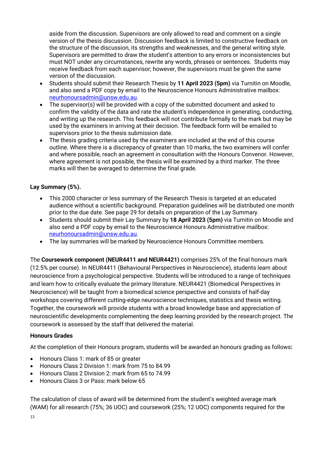aside from the discussion. Supervisors are only allowed to read and comment on a single version of the thesis discussion. Discussion feedback is limited to constructive feedback on the structure of the discussion, its strengths and weaknesses, and the general writing style. Supervisors are permitted to draw the student's attention to any errors or inconsistencies but must NOT under any circumstances, rewrite any words, phrases or sentences. Students may receive feedback from each supervisor; however, the supervisors must be given the same version of the discussion.

- Students should submit their Research Thesis by **11 April 2023 (5pm)** via Turnitin on Moodle, and also send a PDF copy by email to the Neuroscience Honours Administrative mailbox: [neurhonoursadmin@unsw.edu.au.](mailto:neurhonoursadmin@unsw.edu.au)
- The supervisor(s) will be provided with a copy of the submitted document and asked to confirm the validity of the data and rate the student's independence in generating, conducting, and writing up the research. This feedback will not contribute formally to the mark but may be used by the examiners in arriving at their decision. The feedback form will be emailed to supervisors prior to the thesis submission date.
- The thesis grading criteria used by the examiners are included at the end of this course outline. Where there is a discrepancy of greater than 10 marks, the two examiners will confer and where possible, reach an agreement in consultation with the Honours Convenor. However, where agreement is not possible, the thesis will be examined by a third marker. The three marks will then be averaged to determine the final grade.

#### **Lay Summary (5%).**

- This 2000 character or less summary of the Research Thesis is targeted at an educated audience without a scientific background. Preparation guidelines will be distributed one month prior to the due date. See page 29 for details on preparation of the Lay Summary.
- Students should submit their Lay Summary by **18 April 2023 (5pm)** via Turnitin on Moodle and also send a PDF copy by email to the Neuroscience Honours Administrative mailbox: [neurhonoursadmin@unsw.edu.au.](mailto:neurhonoursadmin@unsw.edu.au)
- The lay summaries will be marked by Neuroscience Honours Committee members.

The **Coursework component (NEUR4411 and NEUR4421)** comprises 25% of the final honours mark (12.5% per course). In NEUR4411 (Behavioural Perspectives in Neuroscience), students learn about neuroscience from a psychological perspective. Students will be introduced to a range of techniques and learn how to critically evaluate the primary literature. NEUR4421 (Biomedical Perspectives in Neuroscience) will be taught from a biomedical science perspective and consists of half-day workshops covering different cutting-edge neuroscience techniques, statistics and thesis writing. Together, the coursework will provide students with a broad knowledge base and appreciation of neuroscientific developments complementing the deep learning provided by the research project. The coursework is assessed by the staff that delivered the material.

#### **Honours Grades**

At the completion of their Honours program, students will be awarded an honours grading as follows**:**

- Honours Class 1: mark of 85 or greater
- Honours Class 2 Division 1: mark from 75 to 84.99
- Honours Class 2 Division 2: mark from 65 to 74.99
- Honours Class 3 or Pass: mark below 65

The calculation of class of award will be determined from the student's weighted average mark (WAM) for all research (75%; 36 UOC) and coursework (25%; 12 UOC) components required for the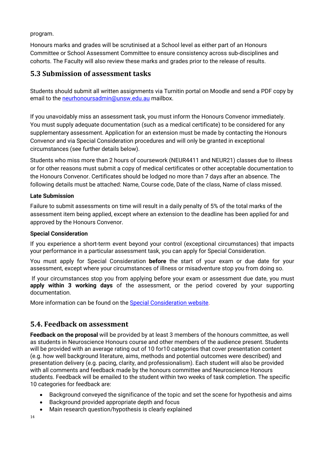program.

Honours marks and grades will be scrutinised at a School level as either part of an Honours Committee or School Assessment Committee to ensure consistency across sub-disciplines and cohorts. The Faculty will also review these marks and grades prior to the release of results.

#### <span id="page-13-0"></span>**5.3 Submission of assessment tasks**

Students should submit all written assignments via Turnitin portal on Moodle and send a PDF copy by email to the [neurhonoursadmin@unsw.edu.au](mailto:neurhonoursadmin@unsw.edu.au) mailbox.

If you unavoidably miss an assessment task, you must inform the Honours Convenor immediately. You must supply adequate documentation (such as a medical certificate) to be considered for any supplementary assessment. Application for an extension must be made by contacting the Honours Convenor and via Special Consideration procedures and will only be granted in exceptional circumstances (see further details below).

Students who miss more than 2 hours of coursework (NEUR4411 and NEUR21) classes due to illness or for other reasons must submit a copy of medical certificates or other acceptable documentation to the Honours Convenor. Certificates should be lodged no more than 7 days after an absence. The following details must be attached: Name, Course code, Date of the class, Name of class missed.

#### **Late Submission**

Failure to submit assessments on time will result in a daily penalty of 5% of the total marks of the assessment item being applied, except where an extension to the deadline has been applied for and approved by the Honours Convenor.

#### **Special Consideration**

If you experience a short-term event beyond your control (exceptional circumstances) that impacts your performance in a particular assessment task, you can apply for Special Consideration.

You must apply for Special Consideration **before** the start of your exam or due date for your assessment, except where your circumstances of illness or misadventure stop you from doing so.

If your circumstances stop you from applying before your exam or assessment due date, you must **apply within 3 working days** of the assessment, or the period covered by your supporting documentation.

More information can be found on the [Special Consideration website.](https://www.student.unsw.edu.au/special-consideration)

#### <span id="page-13-1"></span>**5.4. Feedback on assessment**

**Feedback on the proposal** will be provided by at least 3 members of the honours committee, as well as students in Neuroscience Honours course and other members of the audience present. Students will be provided with an average rating out of 10 for10 categories that cover presentation content (e.g. how well background literature, aims, methods and potential outcomes were described) and presentation delivery (e.g. pacing, clarity, and professionalism). Each student will also be provided with all comments and feedback made by the honours committee and Neuroscience Honours students. Feedback will be emailed to the student within two weeks of task completion. The specific 10 categories for feedback are:

- Background conveyed the significance of the topic and set the scene for hypothesis and aims
- Background provided appropriate depth and focus
- Main research question/hypothesis is clearly explained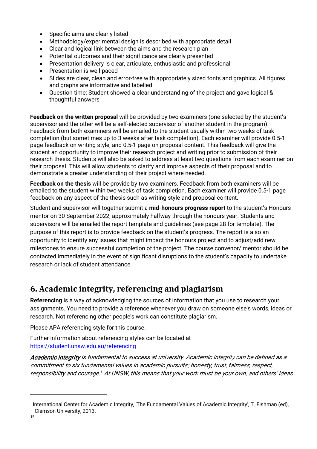- Specific aims are clearly listed
- Methodology/experimental design is described with appropriate detail
- Clear and logical link between the aims and the research plan
- Potential outcomes and their significance are clearly presented
- Presentation delivery is clear, articulate, enthusiastic and professional
- Presentation is well-paced
- Slides are clear, clean and error-free with appropriately sized fonts and graphics. All figures and graphs are informative and labelled
- Question time: Student showed a clear understanding of the project and gave logical & thoughtful answers

**Feedback on the written proposal** will be provided by two examiners (one selected by the student's supervisor and the other will be a self-elected supervisor of another student in the program). Feedback from both examiners will be emailed to the student usually within two weeks of task completion (but sometimes up to 3 weeks after task completion). Each examiner will provide 0.5-1 page feedback on writing style, and 0.5-1 page on proposal content. This feedback will give the student an opportunity to improve their research project and writing prior to submission of their research thesis. Students will also be asked to address at least two questions from each examiner on their proposal. This will allow students to clarify and improve aspects of their proposal and to demonstrate a greater understanding of their project where needed.

**Feedback on the thesis** will be provide by two examiners. Feedback from both examiners will be emailed to the student within two weeks of task completion. Each examiner will provide 0.5-1 page feedback on any aspect of the thesis such as writing style and proposal content.

Student and supervisor will together submit a **mid-honours progress report** to the student's Honours mentor on 30 September 2022, approximately halfway through the honours year. Students and supervisors will be emailed the report template and guidelines (see page 28 for template). The purpose of this report is to provide feedback on the student's progress. The report is also an opportunity to identify any issues that might impact the honours project and to adjust/add new milestones to ensure successful completion of the project. The course convenor/ mentor should be contacted immediately in the event of significant disruptions to the student's capacity to undertake research or lack of student attendance.

# <span id="page-14-0"></span>**6. Academic integrity, referencing and plagiarism**

**Referencing** is a way of acknowledging the sources of information that you use to research your assignments. You need to provide a reference whenever you draw on someone else's words, ideas or research. Not referencing other people's work can constitute plagiarism.

Please APA referencing style for this course.

Further information about referencing styles can be located at <https://student.unsw.edu.au/referencing>

Academic integrity is fundamental to success at university. Academic integrity can be defined as a commitment to six fundamental values in academic pursuits: honesty, trust, fairness, respect, responsibility and courage.<sup>[1](#page-14-1)</sup> At UNSW, this means that your work must be your own, and others' ideas

<span id="page-14-1"></span><sup>1</sup> International Center for Academic Integrity, 'The Fundamental Values of Academic Integrity', T. Fishman (ed), Clemson University, 2013.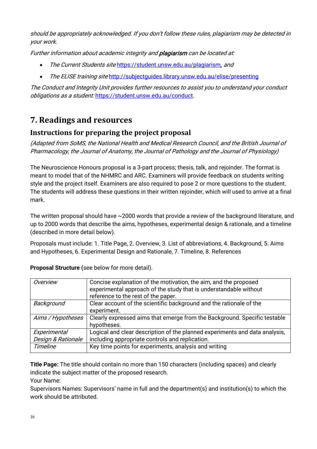should be appropriately acknowledged. If you don't follow these rules, plagiarism may be detected in your work.

Further information about academic integrity and **plagiarism** can be located at:

- The Current Students site <https://student.unsw.edu.au/plagiarism>, and
- The ELISE training site http://subjectquides.library.unsw.edu.au/elise/presenting

The Conduct and Integrity Unit provides further resources to assist you to understand your conduct obligations as a student: <https://student.unsw.edu.au/conduct>.

# <span id="page-15-0"></span>**7. Readings and resources**

## <span id="page-15-1"></span>**Instructions for preparing the project proposal**

(Adapted from SoMS, the National Health and Medical Research Council, and the British Journal of Pharmacology, the Journal of Anatomy, the Journal of Pathology and the Journal of Physiology)

The Neuroscience Honours proposal is a 3-part process; thesis, talk, and rejoinder. The format is meant to model that of the NHMRC and ARC. Examiners will provide feedback on students writing style and the project itself. Examiners are also required to pose 2 or more questions to the student. The students will address these questions in their written rejoinder, which will used to arrive at a final mark.

The written proposal should have ~2000 words that provide a review of the background literature, and up to 2000 words that describe the aims, hypotheses, experimental design & rationale, and a timeline (described in more detail below).

Proposals must include: 1. Title Page, 2. Overview, 3. List of abbreviations, 4. Background, 5. Aims and Hypotheses, 6. Experimental Design and Rationale, 7. Timeline, 8. References

| Overview           | Concise explanation of the motivation, the aim, and the proposed<br>experimental approach of the study that is understandable without<br>reference to the rest of the paper. |
|--------------------|------------------------------------------------------------------------------------------------------------------------------------------------------------------------------|
| Background         | Clear account of the scientific background and the rationale of the<br>experiment.                                                                                           |
| Aims / Hypotheses  | Clearly expressed aims that emerge from the Background. Specific testable<br>hypotheses.                                                                                     |
| Experimental       | Logical and clear description of the planned experiments and data analysis,                                                                                                  |
| Design & Rationale | including appropriate controls and replication.                                                                                                                              |
| <b>Timeline</b>    | Key time points for experiments, analysis and writing                                                                                                                        |

**Proposal Structure (**see below for more detail).

**Title Page:** The title should contain no more than 150 characters (including spaces) and clearly indicate the subject matter of the proposed research.

Your Name:

Supervisors Names: Supervisors' name in full and the department(s) and institution(s) to which the work should be attributed.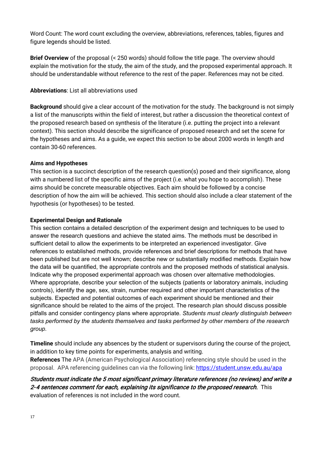Word Count: The word count excluding the overview, abbreviations, references, tables, figures and figure legends should be listed.

**Brief Overview** of the proposal (< 250 words) should follow the title page. The overview should explain the motivation for the study, the aim of the study, and the proposed experimental approach. It should be understandable without reference to the rest of the paper. References may not be cited.

#### **Abbreviations**: List all abbreviations used

**Background** should give a clear account of the motivation for the study. The background is not simply a list of the manuscripts within the field of interest, but rather a discussion the theoretical context of the proposed research based on synthesis of the literature (i.e. putting the project into a relevant context). This section should describe the significance of proposed research and set the scene for the hypotheses and aims. As a guide, we expect this section to be about 2000 words in length and contain 30-60 references.

#### **Aims and Hypotheses**

This section is a succinct description of the research question(s) posed and their significance, along with a numbered list of the specific aims of the project (i.e. what you hope to accomplish). These aims should be concrete measurable objectives. Each aim should be followed by a concise description of how the aim will be achieved. This section should also include a clear statement of the hypothesis (or hypotheses) to be tested.

#### **Experimental Design and Rationale**

This section contains a detailed description of the experiment design and techniques to be used to answer the research questions and achieve the stated aims. The methods must be described in sufficient detail to allow the experiments to be interpreted an experienced investigator. Give references to established methods, provide references and brief descriptions for methods that have been published but are not well known; describe new or substantially modified methods. Explain how the data will be quantified, the appropriate controls and the proposed methods of statistical analysis. Indicate why the proposed experimental approach was chosen over alternative methodologies. Where appropriate, describe your selection of the subjects (patients or laboratory animals, including controls), identify the age, sex, strain, number required and other important characteristics of the subjects. Expected and potential outcomes of each experiment should be mentioned and their significance should be related to the aims of the project. The research plan should discuss possible pitfalls and consider contingency plans where appropriate. *Students must clearly distinguish between tasks performed by the students themselves and tasks performed by other members of the research group.*

**Timeline** should include any absences by the student or supervisors during the course of the project, in addition to key time points for experiments, analysis and writing.

**References** The APA (American Psychological Association) referencing style should be used in the proposal. APA referencing guidelines can via the following link:<https://student.unsw.edu.au/apa>

Students must indicate the 5 most significant primary literature references (no reviews) and write a 2-4 sentences comment for each, explaining its significance to the proposed research. This evaluation of references is not included in the word count.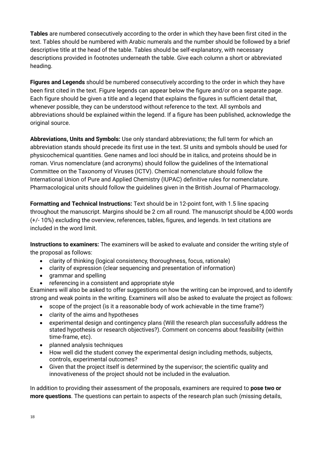**Tables** are numbered consecutively according to the order in which they have been first cited in the text. Tables should be numbered with Arabic numerals and the number should be followed by a brief descriptive title at the head of the table. Tables should be self-explanatory, with necessary descriptions provided in footnotes underneath the table. Give each column a short or abbreviated heading.

**Figures and Legends** should be numbered consecutively according to the order in which they have been first cited in the text. Figure legends can appear below the figure and/or on a separate page. Each figure should be given a title and a legend that explains the figures in sufficient detail that, whenever possible, they can be understood without reference to the text. All symbols and abbreviations should be explained within the legend. If a figure has been published, acknowledge the original source.

**Abbreviations, Units and Symbols:** Use only standard abbreviations; the full term for which an abbreviation stands should precede its first use in the text. SI units and symbols should be used for physicochemical quantities. Gene names and loci should be in italics, and proteins should be in roman. Virus nomenclature (and acronyms) should follow the guidelines of the International Committee on the Taxonomy of Viruses (ICTV). Chemical nomenclature should follow the International Union of Pure and Applied Chemistry (IUPAC) definitive rules for nomenclature. Pharmacological units should follow the guidelines given in the British Journal of Pharmacology.

**Formatting and Technical Instructions:** Text should be in 12-point font, with 1.5 line spacing throughout the manuscript. Margins should be 2 cm all round. The manuscript should be 4,000 words (+/- 10%) excluding the overview, references, tables, figures, and legends. In text citations are included in the word limit.

**Instructions to examiners:** The examiners will be asked to evaluate and consider the writing style of the proposal as follows:

- clarity of thinking (logical consistency, thoroughness, focus, rationale)
- clarity of expression (clear sequencing and presentation of information)
- grammar and spelling
- referencing in a consistent and appropriate style

Examiners will also be asked to offer suggestions on how the writing can be improved, and to identify strong and weak points in the writing. Examiners will also be asked to evaluate the project as follows:

- scope of the project (is it a reasonable body of work achievable in the time frame?)
- clarity of the aims and hypotheses
- experimental design and contingency plans (Will the research plan successfully address the stated hypothesis or research objectives?). Comment on concerns about feasibility (within time-frame, etc).
- planned analysis techniques
- How well did the student convey the experimental design including methods, subjects, controls, experimental outcomes?
- Given that the project itself is determined by the supervisor; the scientific quality and innovativeness of the project should not be included in the evaluation.

In addition to providing their assessment of the proposals, examiners are required to **pose two or more questions**. The questions can pertain to aspects of the research plan such (missing details,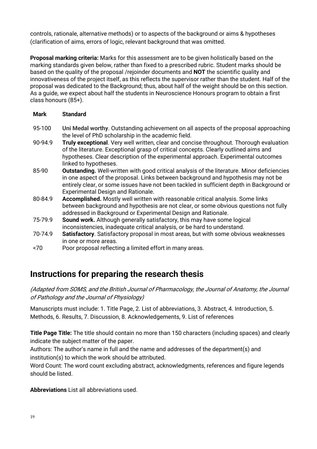controls, rationale, alternative methods) or to aspects of the background or aims & hypotheses (clarification of aims, errors of logic, relevant background that was omitted.

**Proposal marking criteria:** Marks for this assessment are to be given holistically based on the marking standards given below, rather than fixed to a prescribed rubric. Student marks should be based on the quality of the proposal /rejoinder documents and **NOT** the scientific quality and innovativeness of the project itself, as this reflects the supervisor rather than the student. Half of the proposal was dedicated to the Background; thus, about half of the weight should be on this section. As a guide, we expect about half the students in Neuroscience Honours program to obtain a first class honours (85+).

#### **Mark Standard**

- 95-100 **Uni Medal worthy**. Outstanding achievement on all aspects of the proposal approaching the level of PhD scholarship in the academic field.
- 90-94.9 **Truly exceptional**. Very well written, clear and concise throughout. Thorough evaluation of the literature. Exceptional grasp of critical concepts. Clearly outlined aims and hypotheses. Clear description of the experimental approach. Experimental outcomes linked to hypotheses.
- 85-90 **Outstanding.** Well-written with good critical analysis of the literature. Minor deficiencies in one aspect of the proposal. Links between background and hypothesis may not be entirely clear, or some issues have not been tackled in sufficient depth in Background or Experimental Design and Rationale.
- 80-84.9 **Accomplished.** Mostly well written with reasonable critical analysis. Some links between background and hypothesis are not clear, or some obvious questions not fully addressed in Background or Experimental Design and Rationale.
- 75-79.9 **Sound work.** Although generally satisfactory, this may have some logical inconsistencies, inadequate critical analysis, or be hard to understand.
- 70-74.9 **Satisfactory**. Satisfactory proposal in most areas, but with some obvious weaknesses in one or more areas.
- <70 Poor proposal reflecting a limited effort in many areas.

# **Instructions for preparing the research thesis**

(Adapted from SOMS, and the British Journal of Pharmacology, the Journal of Anatomy, the Journal of Pathology and the Journal of Physiology)

Manuscripts must include: 1. Title Page, 2. List of abbreviations, 3. Abstract, 4. Introduction, 5. Methods, 6. Results, 7. Discussion, 8. Acknowledgements, 9. List of references

**Title Page Title:** The title should contain no more than 150 characters (including spaces) and clearly indicate the subject matter of the paper.

Authors: The author's name in full and the name and addresses of the department(s) and institution(s) to which the work should be attributed.

Word Count: The word count excluding abstract, acknowledgments, references and figure legends should be listed.

**Abbreviations** List all abbreviations used.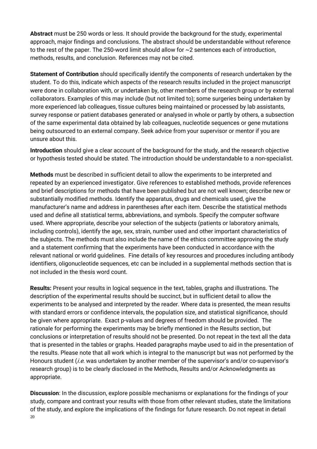**Abstract** must be 250 words or less. It should provide the background for the study, experimental approach, major findings and conclusions. The abstract should be understandable without reference to the rest of the paper. The 250-word limit should allow for ~2 sentences each of introduction, methods, results, and conclusion. References may not be cited.

**Statement of Contribution** should specifically identify the components of research undertaken by the student. To do this, indicate which aspects of the research results included in the project manuscript were done in collaboration with, or undertaken by, other members of the research group or by external collaborators. Examples of this may include (but not limited to); some surgeries being undertaken by more experienced lab colleagues, tissue cultures being maintained or processed by lab assistants, survey response or patient databases generated or analysed in whole or partly by others, a subsection of the same experimental data obtained by lab colleagues, nucleotide sequences or gene mutations being outsourced to an external company. Seek advice from your supervisor or mentor if you are unsure about this.

**Introduction** should give a clear account of the background for the study, and the research objective or hypothesis tested should be stated. The introduction should be understandable to a non-specialist.

**Methods** must be described in sufficient detail to allow the experiments to be interpreted and repeated by an experienced investigator. Give references to established methods, provide references and brief descriptions for methods that have been published but are not well known; describe new or substantially modified methods. Identify the apparatus, drugs and chemicals used, give the manufacturer's name and address in parentheses after each item. Describe the statistical methods used and define all statistical terms, abbreviations, and symbols. Specify the computer software used. Where appropriate, describe your selection of the subjects (patients or laboratory animals, including controls), identify the age, sex, strain, number used and other important characteristics of the subjects. The methods must also include the name of the ethics committee approving the study and a statement confirming that the experiments have been conducted in accordance with the relevant national or world guidelines. Fine details of key resources and procedures including antibody identifiers, oligonucleotide sequences, etc can be included in a supplemental methods section that is not included in the thesis word count.

**Results:** Present your results in logical sequence in the text, tables, graphs and illustrations. The description of the experimental results should be succinct, but in sufficient detail to allow the experiments to be analysed and interpreted by the reader. Where data is presented, the mean results with standard errors or confidence intervals, the population size, and statistical significance, should be given where appropriate. Exact p-values and degrees of freedom should be provided. The rationale for performing the experiments may be briefly mentioned in the Results section, but conclusions or interpretation of results should not be presented. Do not repeat in the text all the data that is presented in the tables or graphs. Headed paragraphs maybe used to aid in the presentation of the results. Please note that all work which is integral to the manuscript but was not performed by the Honours student *(i.e.* was undertaken by another member of the supervisor's and/or co-supervisor's research group) is to be clearly disclosed in the Methods, Results and/or Acknowledgments as appropriate.

20 **Discussion**: In the discussion, explore possible mechanisms or explanations for the findings of your study, compare and contrast your results with those from other relevant studies, state the limitations of the study, and explore the implications of the findings for future research. Do not repeat in detail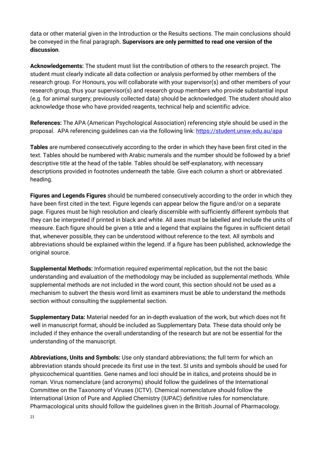data or other material given in the Introduction or the Results sections. The main conclusions should be conveyed in the final paragraph. **Supervisors are only permitted to read one version of the discussion**.

**Acknowledgements:** The student must list the contribution of others to the research project. The student must clearly indicate all data collection or analysis performed by other members of the research group. For Honours, you will collaborate with your supervisor(s) and other members of your research group, thus your supervisor(s) and research group members who provide substantial input (e.g. for animal surgery; previously collected data) should be acknowledged. The student should also acknowledge those who have provided reagents, technical help and scientific advice.

**References:** The APA (American Psychological Association) referencing style should be used in the proposal. APA referencing guidelines can via the following link:<https://student.unsw.edu.au/apa>

**Tables** are numbered consecutively according to the order in which they have been first cited in the text. Tables should be numbered with Arabic numerals and the number should be followed by a brief descriptive title at the head of the table. Tables should be self-explanatory, with necessary descriptions provided in footnotes underneath the table. Give each column a short or abbreviated heading.

**Figures and Legends Figures** should be numbered consecutively according to the order in which they have been first cited in the text. Figure legends can appear below the figure and/or on a separate page. Figures must be high resolution and clearly discernible with sufficiently different symbols that they can be interpreted if printed in black and white. All axes must be labelled and include the units of measure. Each figure should be given a title and a legend that explains the figures in sufficient detail that, whenever possible, they can be understood without reference to the text. All symbols and abbreviations should be explained within the legend. If a figure has been published, acknowledge the original source.

**Supplemental Methods:** Information required experimental replication, but the not the basic understanding and evaluation of the methodology may be included as supplemental methods. While supplemental methods are not included in the word count, this section should not be used as a mechanism to subvert the thesis word limit as examiners must be able to understand the methods section without consulting the supplemental section.

**Supplementary Data:** Material needed for an in-depth evaluation of the work, but which does not fit well in manuscript format, should be included as Supplementary Data. These data should only be included if they enhance the overall understanding of the research but are not be essential for the understanding of the manuscript.

**Abbreviations, Units and Symbols:** Use only standard abbreviations; the full term for which an abbreviation stands should precede its first use in the text. SI units and symbols should be used for physicochemical quantities. Gene names and loci should be in italics, and proteins should be in roman. Virus nomenclature (and acronyms) should follow the guidelines of the International Committee on the Taxonomy of Viruses (ICTV). Chemical nomenclature should follow the International Union of Pure and Applied Chemistry (IUPAC) definitive rules for nomenclature. Pharmacological units should follow the guidelines given in the British Journal of Pharmacology.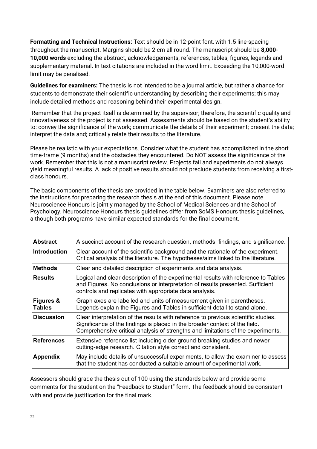**Formatting and Technical Instructions:** Text should be in 12-point font, with 1.5 line-spacing throughout the manuscript. Margins should be 2 cm all round. The manuscript should be **8,000- 10,000 words** excluding the abstract, acknowledgements, references, tables, figures, legends and supplementary material. In text citations are included in the word limit. Exceeding the 10,000-word limit may be penalised.

**Guidelines for examiners:** The thesis is not intended to be a journal article, but rather a chance for students to demonstrate their scientific understanding by describing their experiments; this may include detailed methods and reasoning behind their experimental design.

Remember that the project itself is determined by the supervisor; therefore, the scientific quality and innovativeness of the project is not assessed. Assessments should be based on the student's ability to: convey the significance of the work; communicate the details of their experiment; present the data; interpret the data and; critically relate their results to the literature.

Please be realistic with your expectations. Consider what the student has accomplished in the short time-frame (9 months) and the obstacles they encountered. Do NOT assess the significance of the work. Remember that this is not a manuscript review. Projects fail and experiments do not always yield meaningful results. A lack of positive results should not preclude students from receiving a firstclass honours.

The basic components of the thesis are provided in the table below. Examiners are also referred to the instructions for preparing the research thesis at the end of this document. Please note Neuroscience Honours is jointly managed by the School of Medical Sciences and the School of Psychology. Neuroscience Honours thesis guidelines differ from SoMS Honours thesis guidelines, although both programs have similar expected standards for the final document.

| <b>Abstract</b>            | A succinct account of the research question, methods, findings, and significance.                                                                                                                                                                     |
|----------------------------|-------------------------------------------------------------------------------------------------------------------------------------------------------------------------------------------------------------------------------------------------------|
| <b>Introduction</b>        | Clear account of the scientific background and the rationale of the experiment.<br>Critical analysis of the literature. The hypotheses/aims linked to the literature.                                                                                 |
| <b>Methods</b>             | Clear and detailed description of experiments and data analysis.                                                                                                                                                                                      |
| <b>Results</b>             | Logical and clear description of the experimental results with reference to Tables<br>and Figures. No conclusions or interpretation of results presented. Sufficient<br>controls and replicates with appropriate data analysis.                       |
| Figures &<br><b>Tables</b> | Graph axes are labelled and units of measurement given in parentheses.<br>Legends explain the Figures and Tables in sufficient detail to stand alone.                                                                                                 |
| <b>Discussion</b>          | Clear interpretation of the results with reference to previous scientific studies.<br>Significance of the findings is placed in the broader context of the field.<br>Comprehensive critical analysis of strengths and limitations of the experiments. |
| <b>References</b>          | Extensive reference list including older ground-breaking studies and newer<br>cutting-edge research. Citation style correct and consistent.                                                                                                           |
| <b>Appendix</b>            | May include details of unsuccessful experiments, to allow the examiner to assess<br>that the student has conducted a suitable amount of experimental work.                                                                                            |

Assessors should grade the thesis out of 100 using the standards below and provide some comments for the student on the "Feedback to Student" form. The feedback should be consistent with and provide justification for the final mark.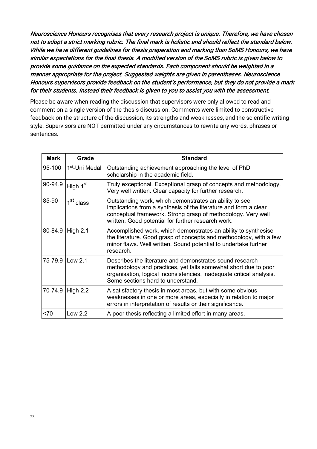Neuroscience Honours recognises that every research project is unique. Therefore, we have chosen not to adopt a strict marking rubric. The final mark is holistic and should reflect the standard below. While we have different guidelines for thesis preparation and marking than SoMS Honours, we have similar expectations for the final thesis. A modified version of the SoMS rubric is given below to provide some guidance on the expected standards. Each component should be weighted in a manner appropriate for the project. Suggested weights are given in parentheses. Neuroscience Honours supervisors provide feedback on the student's performance, but they do not provide a mark for their students. Instead their feedback is given to you to assist you with the assessment.

Please be aware when reading the discussion that supervisors were only allowed to read and comment on a single version of the thesis discussion. Comments were limited to constructive feedback on the structure of the discussion, its strengths and weaknesses, and the scientific writing style. Supervisors are NOT permitted under any circumstances to rewrite any words, phrases or sentences.

| Mark    | Grade                      | <b>Standard</b>                                                                                                                                                                                                                                  |
|---------|----------------------------|--------------------------------------------------------------------------------------------------------------------------------------------------------------------------------------------------------------------------------------------------|
| 95-100  | 1 <sup>st</sup> -Uni Medal | Outstanding achievement approaching the level of PhD<br>scholarship in the academic field.                                                                                                                                                       |
| 90-94.9 | High 1 <sup>st</sup>       | Truly exceptional. Exceptional grasp of concepts and methodology.<br>Very well written. Clear capacity for further research.                                                                                                                     |
| 85-90   | 1 <sup>st</sup> class      | Outstanding work, which demonstrates an ability to see<br>implications from a synthesis of the literature and form a clear<br>conceptual framework. Strong grasp of methodology. Very well<br>written. Good potential for further research work. |
|         | 80-84.9 High 2.1           | Accomplished work, which demonstrates an ability to synthesise<br>the literature. Good grasp of concepts and methodology, with a few<br>minor flaws. Well written. Sound potential to undertake further<br>research.                             |
|         | 75-79.9 Low 2.1            | Describes the literature and demonstrates sound research<br>methodology and practices, yet falls somewhat short due to poor<br>organisation, logical inconsistencies, inadequate critical analysis.<br>Some sections hard to understand.         |
| 70-74.9 | High 2.2                   | A satisfactory thesis in most areas, but with some obvious<br>weaknesses in one or more areas, especially in relation to major<br>errors in interpretation of results or their significance.                                                     |
| < 70    | Low 2.2                    | A poor thesis reflecting a limited effort in many areas.                                                                                                                                                                                         |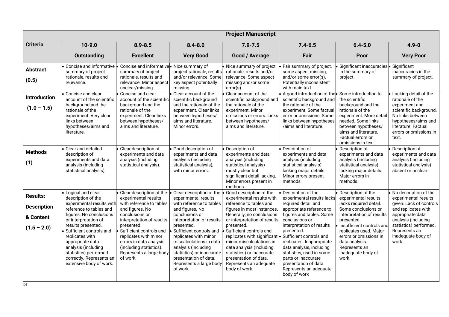|                                                                     | <b>Project Manuscript</b>                                                                                                                                                                                                                                                                                                                         |                                                                                                                                                                                                                                                                                                               |                                                                                                                                                                                                                                                                                                                                                                 |                                                                                                                                                                                                                                                                                                                                                                                                             |                                                                                                                                                                                                                                                                                                                                                                                                        |                                                                                                                                                                                                                                                                                             |                                                                                                                                                                                                                      |
|---------------------------------------------------------------------|---------------------------------------------------------------------------------------------------------------------------------------------------------------------------------------------------------------------------------------------------------------------------------------------------------------------------------------------------|---------------------------------------------------------------------------------------------------------------------------------------------------------------------------------------------------------------------------------------------------------------------------------------------------------------|-----------------------------------------------------------------------------------------------------------------------------------------------------------------------------------------------------------------------------------------------------------------------------------------------------------------------------------------------------------------|-------------------------------------------------------------------------------------------------------------------------------------------------------------------------------------------------------------------------------------------------------------------------------------------------------------------------------------------------------------------------------------------------------------|--------------------------------------------------------------------------------------------------------------------------------------------------------------------------------------------------------------------------------------------------------------------------------------------------------------------------------------------------------------------------------------------------------|---------------------------------------------------------------------------------------------------------------------------------------------------------------------------------------------------------------------------------------------------------------------------------------------|----------------------------------------------------------------------------------------------------------------------------------------------------------------------------------------------------------------------|
| <b>Criteria</b>                                                     | $10-9.0$                                                                                                                                                                                                                                                                                                                                          | $8.9 - 8.5$                                                                                                                                                                                                                                                                                                   | $8.4 - 8.0$                                                                                                                                                                                                                                                                                                                                                     | $7.9 - 7.5$                                                                                                                                                                                                                                                                                                                                                                                                 | $7.4 - 6.5$                                                                                                                                                                                                                                                                                                                                                                                            | $6.4 - 5.0$                                                                                                                                                                                                                                                                                 | $4.9 - 0$                                                                                                                                                                                                            |
|                                                                     | <b>Outstanding</b>                                                                                                                                                                                                                                                                                                                                | <b>Excellent</b>                                                                                                                                                                                                                                                                                              | <b>Very Good</b>                                                                                                                                                                                                                                                                                                                                                | Good / Average                                                                                                                                                                                                                                                                                                                                                                                              | Fair                                                                                                                                                                                                                                                                                                                                                                                                   | Poor                                                                                                                                                                                                                                                                                        | <b>Very Poor</b>                                                                                                                                                                                                     |
| <b>Abstract</b><br>(0.5)                                            | Concise and informative<br>summary of project<br>rationale, results and<br>relevance.                                                                                                                                                                                                                                                             | Concise and informative<br>summary of project<br>rationale, results and<br>relevance. Minor aspect<br>unclear/missing.                                                                                                                                                                                        | • Nice summary of<br>project rationale, results<br>and/or relevance. Some<br>key aspect potentially<br>missing.                                                                                                                                                                                                                                                 | Nice summary of project<br>rationale, results and/or<br>relevance. Some aspect<br>missing and/or some<br>$error(s)$ .                                                                                                                                                                                                                                                                                       | Fair summary of project,<br>some aspect missing,<br>and/or some error(s).<br>Potentially inconsistent<br>with main text.                                                                                                                                                                                                                                                                               | Significant inaccuracies<br>in the summary of<br>project.                                                                                                                                                                                                                                   | Significant<br>inaccuracies in the<br>summary of project.                                                                                                                                                            |
| <b>Introduction</b><br>$(1.0 - 1.5)$                                | Concise and clear<br>account of the scientific<br>background and the<br>rationale of the<br>experiment. Very clear<br>links between<br>hypotheses/aims and<br>literature.                                                                                                                                                                         | Concise and clear<br>account of the scientific<br>background and the<br>rationale of the<br>experiment. Clear links<br>between hypotheses/<br>aims and literature.                                                                                                                                            | Clear account of the<br>scientific background<br>and the rationale of the<br>experiment. Clear links<br>between hypotheses/<br>aims and literature.<br>Minor errors.                                                                                                                                                                                            | Clear account of the<br>scientific background and<br>the rationale of the<br>experiment. Minor<br>omissions or errors. Links<br>between hypotheses/<br>aims and literature.                                                                                                                                                                                                                                 | A good introduction of the Some introduction to<br>scientific background and<br>the rationale of the<br>experiment. Some factual<br>error or omissions. Some<br>links between hypotheses<br>/aims and literature.                                                                                                                                                                                      | the scientific<br>background and the<br>rationale of the<br>experiment. More detail<br>needed. Some links<br>between hypotheses/<br>aims and literature.<br>Factual errors or<br>omissions in text.                                                                                         | Lacking detail of the<br>rationale of the<br>experiment and<br>scientific background.<br>No links between<br>hypotheses/aims and<br>literature. Factual<br>errors or omissions in<br>text.                           |
| <b>Methods</b><br>(1)                                               | Clear and detailed<br>description of<br>experiments and data<br>analysis (including<br>statistical analysis).                                                                                                                                                                                                                                     | Clear description of<br>experiments and data<br>analysis (including<br>statistical analysis).                                                                                                                                                                                                                 | Good description of<br>experiments and data<br>analysis (including<br>statistical analysis),<br>with minor errors.                                                                                                                                                                                                                                              | Description of<br>experiments and data<br>analysis (including<br>statistical analysis)<br>mostly clear but<br>significant detail lacking.<br>Minor errors present in<br>methods.                                                                                                                                                                                                                            | Description of<br>experiments and data<br>analysis (including<br>statistical analysis)<br>lacking major details.<br>Minor errors present<br>methods.                                                                                                                                                                                                                                                   | Description of<br>experiments and data<br>analysis (including<br>statistical analysis)<br>lacking major details.<br>Major errors in<br>methods.                                                                                                                                             | Description of<br>experiments and data<br>analysis (including<br>statistical analysis)<br>absent or unclear.                                                                                                         |
| <b>Results:</b><br><b>Description</b><br>& Content<br>$(1.5 - 2.0)$ | Logical and clear<br>description of the<br>experimental results with<br>reference to tables and<br>figures. No conclusions<br>or interpretation of<br>results presented.<br>Sufficient controls and<br>replicates with<br>appropriate data<br>analysis (including<br>statistics) performed<br>correctly. Represents an<br>extensive body of work. | Clear description of the<br>experimental results<br>with reference to tables<br>and figures. No<br>conclusions or<br>interpretation of results<br>presented.<br>Sufficient controls and<br>replicates with minor<br>errors in data analysis<br>(including statistics).<br>Represents a large body<br>of work. | Clear description of the<br>experimental results<br>with reference to tables<br>and figures. No<br>conclusions or<br>interpretation of results<br>presented.<br>Sufficient controls and<br>replicates with minor<br>miscalculations in data<br>analysis (including<br>statistics) or inaccurate<br>presentation of data.<br>Represents a large body<br>of work. | Good description of the<br>experimental results with<br>reference to tables and<br>figures in most instances.<br>Generally, no conclusions<br>or interpretation of results<br>presented.<br>Sufficient controls and<br>replicates with significant<br>minor miscalculations in<br>data analysis (including<br>statistics) or inaccurate<br>presentation of data.<br>Represents an adequate<br>body of work. | Description of the<br>experimental results lacks<br>required detail and<br>appropriate reference to<br>figures and tables. Some<br>conclusions or<br>interpretation of results<br>presented.<br>Sufficient controls and<br>replicates. Inappropriate<br>data analysis, including<br>statistics, used in some<br>parts or inaccurate<br>presentation of data.<br>Represents an adequate<br>body of work | • Description of the<br>experimental results<br>lacks required detail.<br>Some conclusions or<br>interpretation of results<br>presented.<br>Insufficient controls and<br>replicates used. Major<br>errors or omissions in<br>data analysis.<br>Represents an<br>inadequate body of<br>work. | No description of the<br>experimental results<br>given. Lack of controls<br>and replicates with<br>appropriate data<br>analysis (including<br>statistics) performed.<br>Represents an<br>inadequate body of<br>work. |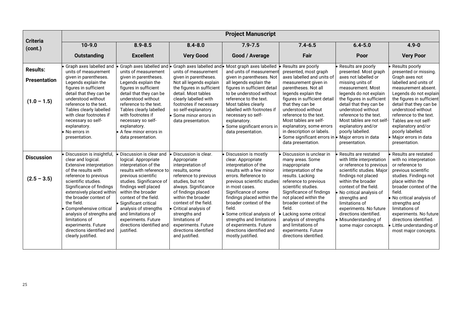|                            | <b>Project Manuscript</b>                                                                                                                                                                                                                                                                        |                                                                                                                                                                                                                                                                 |                                                                                                                                                                                                                                                                     |                                                                                                                                                                                                                                                                                                       |                                                                                                                                                                                                                                                                                                              |                                                                                                                                                                                                                                             |                                                                                                                                                                                                                                                                            |
|----------------------------|--------------------------------------------------------------------------------------------------------------------------------------------------------------------------------------------------------------------------------------------------------------------------------------------------|-----------------------------------------------------------------------------------------------------------------------------------------------------------------------------------------------------------------------------------------------------------------|---------------------------------------------------------------------------------------------------------------------------------------------------------------------------------------------------------------------------------------------------------------------|-------------------------------------------------------------------------------------------------------------------------------------------------------------------------------------------------------------------------------------------------------------------------------------------------------|--------------------------------------------------------------------------------------------------------------------------------------------------------------------------------------------------------------------------------------------------------------------------------------------------------------|---------------------------------------------------------------------------------------------------------------------------------------------------------------------------------------------------------------------------------------------|----------------------------------------------------------------------------------------------------------------------------------------------------------------------------------------------------------------------------------------------------------------------------|
| <b>Criteria</b><br>(cont.) | $10-9.0$                                                                                                                                                                                                                                                                                         | $8.9 - 8.5$                                                                                                                                                                                                                                                     | $8.4 - 8.0$                                                                                                                                                                                                                                                         | $7.9 - 7.5$                                                                                                                                                                                                                                                                                           | $7.4 - 6.5$                                                                                                                                                                                                                                                                                                  | $6.4 - 5.0$                                                                                                                                                                                                                                 | $4.9 - 0$                                                                                                                                                                                                                                                                  |
|                            | <b>Outstanding</b>                                                                                                                                                                                                                                                                               | <b>Excellent</b>                                                                                                                                                                                                                                                | <b>Very Good</b>                                                                                                                                                                                                                                                    | Good / Average                                                                                                                                                                                                                                                                                        | Fair                                                                                                                                                                                                                                                                                                         | Poor                                                                                                                                                                                                                                        | <b>Very Poor</b>                                                                                                                                                                                                                                                           |
| <b>Results:</b>            | Graph axes labelled and<br>units of measurement                                                                                                                                                                                                                                                  | Graph axes labelled and<br>units of measurement                                                                                                                                                                                                                 | units of measurement                                                                                                                                                                                                                                                | Graph axes labelled and • Most graph axes labelled<br>and units of measurement                                                                                                                                                                                                                        | Results are poorly<br>presented, most graph                                                                                                                                                                                                                                                                  | Results are poorly<br>presented. Most graph                                                                                                                                                                                                 | Results poorly<br>presented or missing.                                                                                                                                                                                                                                    |
| <b>Presentation</b>        | given in parentheses.<br>Legends explain the                                                                                                                                                                                                                                                     | given in parentheses.<br>Legends explain the                                                                                                                                                                                                                    | given in parentheses.<br>Not all legends explain                                                                                                                                                                                                                    | given in parentheses. Not<br>all legends explain the                                                                                                                                                                                                                                                  | axes labelled and units of<br>measurement given in                                                                                                                                                                                                                                                           | axes not labelled or<br>missing units of                                                                                                                                                                                                    | Graph axes not<br>labelled and units of                                                                                                                                                                                                                                    |
| $(1.0 - 1.5)$              | figures in sufficient<br>detail that they can be<br>understood without<br>reference to the text.<br>Tables clearly labelled<br>with clear footnotes if<br>necessary so self-<br>explanatory.<br>No errors in<br>presentation.                                                                    | figures in sufficient<br>detail that they can be<br>understood without<br>reference to the text.<br>Tables clearly labelled<br>with footnotes if<br>necessary so self-<br>explanatory.<br>A few minor errors in<br>data presentation.                           | the figures in sufficient<br>detail. Most tables<br>clearly labelled with<br>footnotes if necessary<br>so self-explanatory.<br>Some minor errors in<br>data presentation.                                                                                           | figures in sufficient detail<br>to be understood without<br>reference to the text.<br>Most tables clearly<br>labelled with footnotes if<br>necessary so self-<br>explanatory.<br>Some significant errors in<br>data presentation.                                                                     | parentheses. Not all<br>legends explain the<br>figures in sufficient detail<br>that they can be<br>understood without<br>reference to the text.<br>Most tables are self-<br>explanatory, some errors<br>in description or labels.<br>Some significant errors in • Major errors in data<br>data presentation. | measurement. Most<br>legends do not explain<br>the figures in sufficient<br>detail that they can be<br>understood without<br>reference to the text.<br>Most tables are not self-<br>explanatory and/or<br>poorly labelled.<br>presentation. | measurement absent.<br>Legends do not explain<br>the figures in sufficient<br>detail that they can be<br>understood without<br>reference to the text.<br>Tables are not self-<br>explanatory and/or<br>poorly labelled.<br>$\bullet$ Major errors in data<br>presentation. |
|                            | Discussion is insightful,                                                                                                                                                                                                                                                                        | <b>Discussion is clear and</b>                                                                                                                                                                                                                                  | Discussion is clear.                                                                                                                                                                                                                                                | Discussion is mostly                                                                                                                                                                                                                                                                                  | Discussion is unclear in                                                                                                                                                                                                                                                                                     | Results are restated                                                                                                                                                                                                                        | Results are restated                                                                                                                                                                                                                                                       |
| <b>Discussion</b>          | clear and logical.<br>Extensive interpretation<br>of the results with                                                                                                                                                                                                                            | logical. Appropriate<br>interpretation of the<br>results with reference to                                                                                                                                                                                      | Appropriate<br>interpretation of<br>results, some                                                                                                                                                                                                                   | clear. Appropriate<br>interpretation of the<br>results with a few minor                                                                                                                                                                                                                               | many areas. Some<br>inappropriate<br>interpretation of the                                                                                                                                                                                                                                                   | with little interpretation<br>or reference to previous<br>scientific studies. Major                                                                                                                                                         | with no interpretation<br>or reference to<br>previous scientific                                                                                                                                                                                                           |
| $(2.5 - 3.5)$              | reference to previous<br>scientific studies.<br>Significance of findings<br>extensively placed within<br>the broader context of<br>the field.<br>Comprehensive critical<br>analysis of strengths and<br>limitations of<br>experiments. Future<br>directions identified and<br>clearly justified. | previous scientific<br>studies. Significance of<br>findings well placed<br>within the broader<br>context of the field.<br>Significant critical<br>analysis of strengths<br>and limitations of<br>experiments. Future<br>directions identified and<br>justified. | reference to previous<br>studies, but not<br>always. Significance<br>of findings placed<br>within the broader<br>context of the field.<br>Critical analysis of<br>strengths and<br>limitations of<br>experiments. Future<br>directions identified<br>and justified. | errors. Reference to<br>previous scientific studies<br>in most cases.<br>Significance of some<br>findings placed within the<br>broader context of the<br>field.<br>Some critical analysis of<br>strengths and limitations<br>of experiments. Future<br>directions identified and<br>mostly justified. | results. Lacking<br>reference to previous<br>scientific studies.<br>Significance of findings<br>not placed within the<br>broader context of the<br>field.<br>Lacking some critical<br>analysis of strengths<br>and limitations of<br>experiments. Future<br>directions identified.                           | findings not placed<br>within the broader<br>context of the field.<br>No critical analysis of<br>strengths and<br>limitations of<br>experiments. No future<br>directions identified.<br>Misunderstanding of<br>some major concepts.         | studies. Findings not<br>place within the<br>broader context of the<br>field.<br>. No critical analysis of<br>strengths and<br>limitations of<br>experiments. No future<br>directions identified.<br>Little understanding of<br>most major concepts.                       |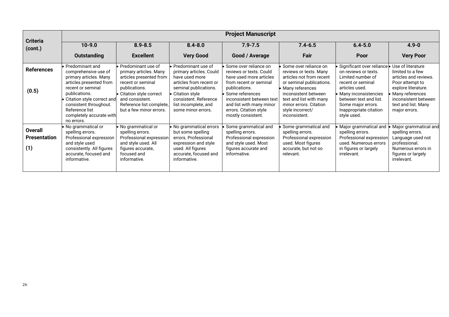|                                              | <b>Project Manuscript</b>                                                                                                                                                                                                                              |                                                                                                                                                                                                                   |                                                                                                                                                                                                              |                                                                                                                                                                                                                                                    |                                                                                                                                                                                                                                              |                                                                                                                                                                                                                                                      |                                                                                                                                                                        |
|----------------------------------------------|--------------------------------------------------------------------------------------------------------------------------------------------------------------------------------------------------------------------------------------------------------|-------------------------------------------------------------------------------------------------------------------------------------------------------------------------------------------------------------------|--------------------------------------------------------------------------------------------------------------------------------------------------------------------------------------------------------------|----------------------------------------------------------------------------------------------------------------------------------------------------------------------------------------------------------------------------------------------------|----------------------------------------------------------------------------------------------------------------------------------------------------------------------------------------------------------------------------------------------|------------------------------------------------------------------------------------------------------------------------------------------------------------------------------------------------------------------------------------------------------|------------------------------------------------------------------------------------------------------------------------------------------------------------------------|
| <b>Criteria</b><br>(cont.)                   | $10 - 9.0$                                                                                                                                                                                                                                             | $8.9 - 8.5$                                                                                                                                                                                                       | $8.4 - 8.0$                                                                                                                                                                                                  | $7.9 - 7.5$                                                                                                                                                                                                                                        | $7.4 - 6.5$                                                                                                                                                                                                                                  | $6.4 - 5.0$                                                                                                                                                                                                                                          | $4.9 - 0$                                                                                                                                                              |
|                                              | <b>Outstanding</b>                                                                                                                                                                                                                                     | <b>Excellent</b>                                                                                                                                                                                                  | <b>Very Good</b>                                                                                                                                                                                             | Good / Average                                                                                                                                                                                                                                     | Fair                                                                                                                                                                                                                                         | Poor                                                                                                                                                                                                                                                 | <b>Very Poor</b>                                                                                                                                                       |
| <b>References</b><br>(0.5)                   | Predominant and<br>comprehensive use of<br>primary articles. Many<br>articles presented from<br>recent or seminal<br>publications.<br>Citation style correct and<br>consistent throughout.<br>Reference list<br>completely accurate with<br>no errors. | Predominant use of<br>primary articles. Many<br>articles presented from<br>recent or seminal<br>publications.<br>Citation style correct<br>and consistent.<br>Reference list complete,<br>but a few minor errors. | Predominant use of<br>primary articles. Could<br>have used more<br>articles from recent or<br>seminal publications.<br>Citation style<br>consistent. Reference<br>list incomplete, and<br>some minor errors. | Some over reliance on<br>reviews or texts. Could<br>have used more articles<br>from recent or seminal<br>publications.<br>Some references<br>inconsistent between text<br>and list with many minor<br>errors. Citation style<br>mostly consistent. | Some over reliance on<br>reviews or texts. Many<br>articles not from recent<br>or seminal publications.<br>Many references<br>inconsistent between<br>text and list with many<br>minor errors. Citation<br>style incorrect/<br>inconsistent. | Significant over reliance • Use of literature<br>on reviews or texts.<br>Limited number of<br>recent or seminal<br>articles used.<br>• Many inconsistencies<br>between text and list.<br>Some major errors.<br>Inappropriate citation<br>style used. | limited to a few<br>articles and reviews.<br>Poor attempt to<br>explore literature.<br>Many references<br>inconsistent between<br>text and list. Many<br>major errors. |
| <b>Overall</b><br><b>Presentation</b><br>(1) | No grammatical or<br>spelling errors.<br>Professional expression<br>and style used<br>consistently. All figures<br>accurate, focused and<br>informative.                                                                                               | $\bullet$ No grammatical or<br>spelling errors.<br>Professional expression<br>and style used. All<br>figures accurate,<br>focused and<br>informative.                                                             | No grammatical errors<br>but some spelling<br>errors. Professional<br>expression and style<br>used. All figures<br>accurate, focused and<br>informative.                                                     | Some grammatical and<br>spelling errors.<br>Professional expression<br>and style used. Most<br>figures accurate and<br>informative.                                                                                                                | Some grammatical and<br>spelling errors.<br>Professional expression<br>used. Most figures<br>accurate, but not so<br>relevant.                                                                                                               | Major grammatical and<br>spelling errors.<br>Professional expression<br>used. Numerous errors<br>in figures or largely<br>irrelevant.                                                                                                                | Major grammatical and<br>spelling errors.<br>Language used not<br>professional.<br>Numerous errors in<br>figures or largely<br>irrelevant.                             |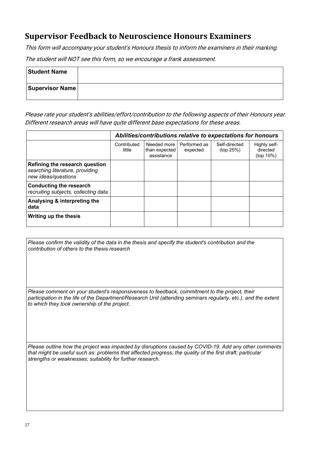## <span id="page-26-0"></span>**Supervisor Feedback to Neuroscience Honours Examiners**

This form will accompany your student's Honours thesis to inform the examiners in their marking. The student will NOT see this form, so we encourage a frank assessment.

| <b>Student Name</b>    |  |
|------------------------|--|
| <b>Supervisor Name</b> |  |

Please rate your student's abilities/effort/contribution to the following aspects of their Honours year. Different research areas will have quite different base expectations for these areas.

|                                                                                          | Abilities/contributions relative to expectations for honours |                                            |                          |                            |                                       |  |
|------------------------------------------------------------------------------------------|--------------------------------------------------------------|--------------------------------------------|--------------------------|----------------------------|---------------------------------------|--|
|                                                                                          | Contributed<br>little                                        | Needed more<br>than expected<br>assistance | Performed as<br>expected | Self-directed<br>(top 25%) | Highly self-<br>directed<br>(top 10%) |  |
| Refining the research question<br>searching literature, providing<br>new ideas/questions |                                                              |                                            |                          |                            |                                       |  |
| <b>Conducting the research</b><br>recruiting subjects, collecting data                   |                                                              |                                            |                          |                            |                                       |  |
| Analysing & interpreting the<br>data                                                     |                                                              |                                            |                          |                            |                                       |  |
| Writing up the thesis                                                                    |                                                              |                                            |                          |                            |                                       |  |

*Please confirm the validity of the data in the thesis and specify the student's contribution and the contribution of others to the thesis research* 

*Please comment on your student's responsiveness to feedback, commitment to the project, their participation in the life of the Department/Research Unit (attending seminars regularly, etc.), and the extent to which they took ownership of the project.*

*Please outline how the project was impacted by disruptions caused by COVID-19. Add any other comments that might be useful such as: problems that affected progress; the quality of the first draft; particular strengths or weaknesses; suitability for further research.*